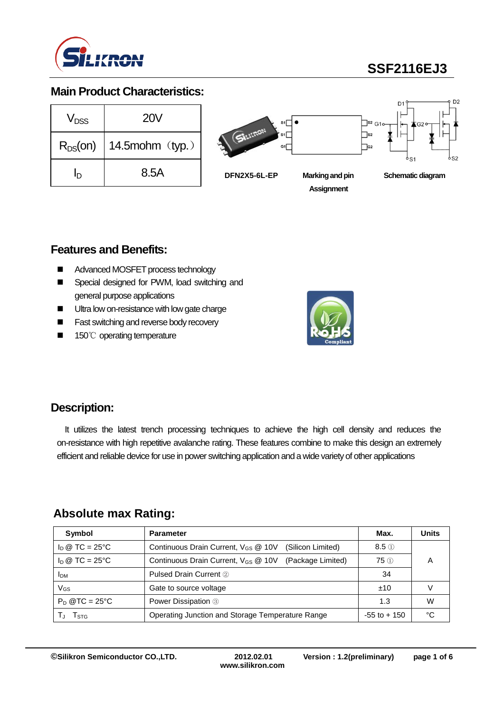

# **SSF2116EJ3**

### **Main Product Characteristics:**

| $V_{DSS}$    | <b>20V</b>         |
|--------------|--------------------|
| $R_{DS}(on)$ | 14.5 $mohm$ (typ.) |
| In           | 8.5A               |



### **Features and Benefits:**

- Advanced MOSFET process technology
- Special designed for PWM, load switching and general purpose applications
- **Ultra low on-resistance with low gate charge**
- **Fast switching and reverse body recovery**
- 150℃ operating temperature



### **Description:**

It utilizes the latest trench processing techniques to achieve the high cell density and reduces the on-resistance with high repetitive avalanche rating. These features combine to make this design an extremely efficient and reliable device for use in power switching application and a wide variety of other applications

### **Absolute max Rating:**

| Symbol                         | <b>Parameter</b>                                                     | Max.            | <b>Units</b> |
|--------------------------------|----------------------------------------------------------------------|-----------------|--------------|
| $I_D \otimes TC = 25^{\circ}C$ | Continuous Drain Current, $V_{GS}$ @ 10V<br>(Silicon Limited)        | $8.5 \circled$  |              |
| $I_D \otimes TC = 25^{\circ}C$ | Continuous Drain Current, V <sub>GS</sub> @ 10V<br>(Package Limited) | $75$ (i)        |              |
| <b>I</b> DM                    | Pulsed Drain Current 2                                               | 34              |              |
| VGS                            | Gate to source voltage                                               | ±10             |              |
| $P_D @TC = 25^{\circ}C$        | Power Dissipation 3                                                  | 1.3             | w            |
| I STG                          | Operating Junction and Storage Temperature Range                     | $-55$ to $+150$ | °C           |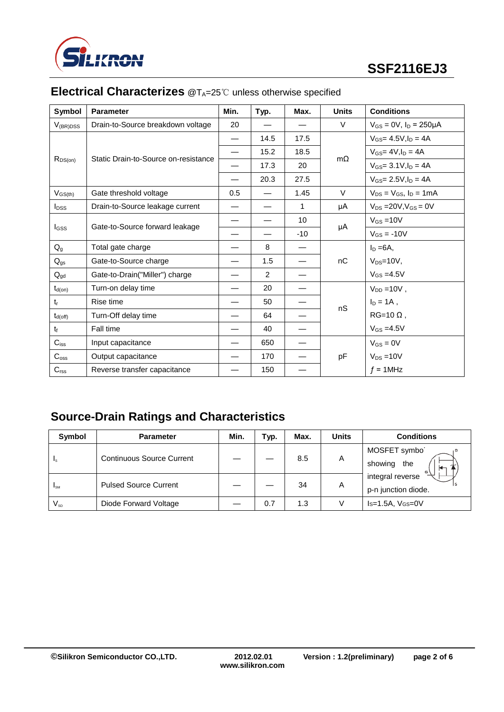

| <b>Symbol</b>           | <b>Parameter</b>                     | Min.                     | Typ.           | Max.  | <b>Units</b> | <b>Conditions</b>                 |
|-------------------------|--------------------------------------|--------------------------|----------------|-------|--------------|-----------------------------------|
| $V_{(BR)DSS}$           | Drain-to-Source breakdown voltage    | 20                       |                |       | V            | $V_{GS} = 0V$ , $I_D = 250 \mu A$ |
|                         |                                      | $\overline{\phantom{0}}$ | 14.5           | 17.5  |              | $V_{GS} = 4.5V, I_D = 4A$         |
|                         |                                      |                          | 15.2           | 18.5  | $m\Omega$    | $V_{GS} = 4V, I_D = 4A$           |
| $R_{DS(on)}$            | Static Drain-to-Source on-resistance |                          | 17.3           | 20    |              | $V_{GS} = 3.1 V, I_D = 4A$        |
|                         |                                      |                          | 20.3           | 27.5  |              | $V_{GS} = 2.5V, I_D = 4A$         |
| $V_{GS(th)}$            | Gate threshold voltage               | 0.5                      |                | 1.45  | V            | $V_{DS} = V_{GS}$ , $I_D = 1mA$   |
| <b>I</b> <sub>pss</sub> | Drain-to-Source leakage current      |                          |                | 1     | μA           | $V_{DS}$ = 20V, $V_{GS}$ = 0V     |
| <b>I</b> GSS            | Gate-to-Source forward leakage       |                          |                | 10    |              | $V_{GS} = 10V$                    |
|                         |                                      |                          |                | $-10$ | μA           | $V_{GS} = -10V$                   |
| $Q_{g}$                 | Total gate charge                    |                          | 8              |       |              | $I_D = 6A$ ,                      |
| $Q_{gs}$                | Gate-to-Source charge                |                          | 1.5            |       | nC           | $V_{DS}=10V$ ,                    |
| $Q_{gd}$                | Gate-to-Drain("Miller") charge       |                          | $\overline{2}$ |       |              | $V_{GS} = 4.5V$                   |
| $t_{d(on)}$             | Turn-on delay time                   |                          | 20             |       |              | $V_{DD} = 10V$ ,                  |
| $t_{r}$                 | Rise time                            |                          | 50             |       |              | $I_D = 1A$ ,                      |
| $t_{d(off)}$            | Turn-Off delay time                  | $\overline{\phantom{0}}$ | 64             |       | nS           | $RG=10 \Omega$ ,                  |
| $t_{\rm f}$             | Fall time                            |                          | 40             |       |              | $V_{GS} = 4.5V$                   |
| $C_{iss}$               | Input capacitance                    |                          | 650            |       |              | $V_{GS} = 0V$                     |
| $C_{\rm oss}$           | Output capacitance                   |                          | 170            |       | pF           | $V_{DS} = 10V$                    |
| $C_{\text{rss}}$        | Reverse transfer capacitance         |                          | 150            |       |              | $f = 1$ MHz                       |

## **Electrical Characterizes** @T<sub>A</sub>=25℃ unless otherwise specified

# **Source-Drain Ratings and Characteristics**

| Symbol          | <b>Parameter</b>             | Min. | Typ. | Max. | Units | <b>Conditions</b>                       |  |
|-----------------|------------------------------|------|------|------|-------|-----------------------------------------|--|
| 1s              | Continuous Source Current    |      |      | 8.5  | A     | MOSFET symbo<br>showing<br>the          |  |
| I <sub>SM</sub> | <b>Pulsed Source Current</b> |      |      | 34   | Α     | integral reverse<br>p-n junction diode. |  |
| $V_{SD}$        | Diode Forward Voltage        |      | 0.7  | 1.3  |       | $Is=1.5A, V(s=0V)$                      |  |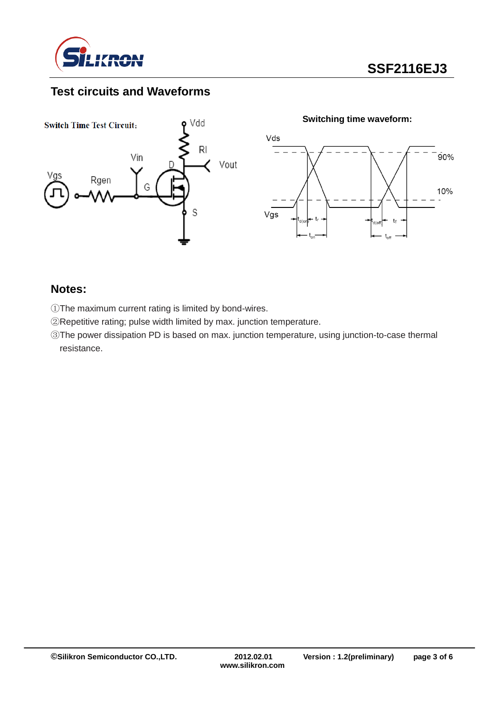

## **Test circuits and Waveforms**



#### **Notes:**

- ①The maximum current rating is limited by bond-wires.
- ②Repetitive rating; pulse width limited by max. junction temperature.
- ③The power dissipation PD is based on max. junction temperature, using junction-to-case thermal resistance.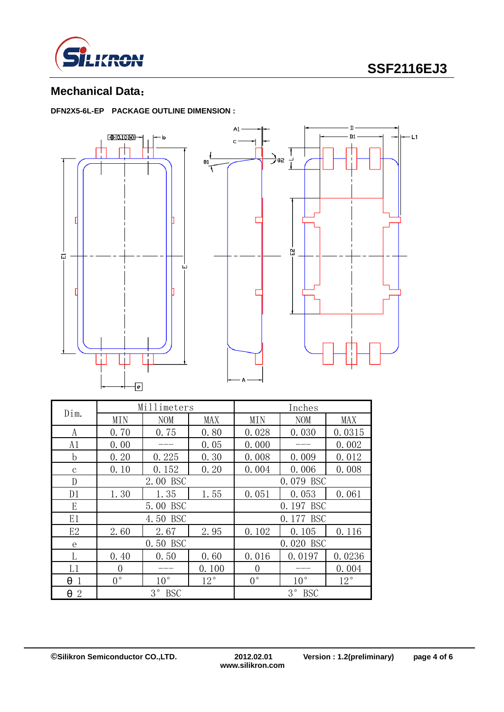

# **SSF2116EJ3**

### **Mechanical Data**:

**DFN2X5-6L-EP PACKAGE OUTLINE DIMENSION :**



| Dim.                | Millimeters               |              |              | Inches         |                           |        |  |
|---------------------|---------------------------|--------------|--------------|----------------|---------------------------|--------|--|
|                     | MIN                       | <b>NOM</b>   | MAX          | MIN            | <b>NOM</b>                | MAX    |  |
| A                   | 0.70                      | 0.75         | 0.80         | 0.028          | 0.030                     | 0.0315 |  |
| A1                  | 0.00                      |              | 0.05         | 0.000          |                           | 0.002  |  |
| b                   | 0.20                      | 0.225        | 0.30         | 0.008          | 0.009                     | 0.012  |  |
| $\mathbf{C}$        | 0.10                      | 0.152        | 0.20         | 0.004          | 0.006                     | 0.008  |  |
| D                   | 2.00 BSC                  |              |              | 0.079 BSC      |                           |        |  |
| D1                  | 1.30                      | 1.35         | 1.55         | 0.051          | 0.053                     | 0.061  |  |
| E                   | 5.00 BSC                  |              |              | 0.197 BSC      |                           |        |  |
| E1                  | 4.50 BSC                  |              |              | 0.177 BSC      |                           |        |  |
| E2                  | 2.60                      | 2.67         | 2.95         | 0.102          | 0.105                     | 0.116  |  |
| e                   | 0.50 BSC                  |              |              |                | 0.020 BSC                 |        |  |
|                     | 0.40                      | 0.50         | 0.60         | 0.016          | 0.0197                    | 0.0236 |  |
| L1                  | $\overline{0}$            |              | 0.100        | $\overline{0}$ |                           | 0.004  |  |
| θ                   | $0^{\circ}$               | $10^{\circ}$ | $12^{\circ}$ | $0^{\circ}$    | $10^{\circ}$              | 12°    |  |
| θ<br>$\overline{2}$ | $3^{\circ}$<br><b>BSC</b> |              |              |                | $3^{\circ}$<br><b>BSC</b> |        |  |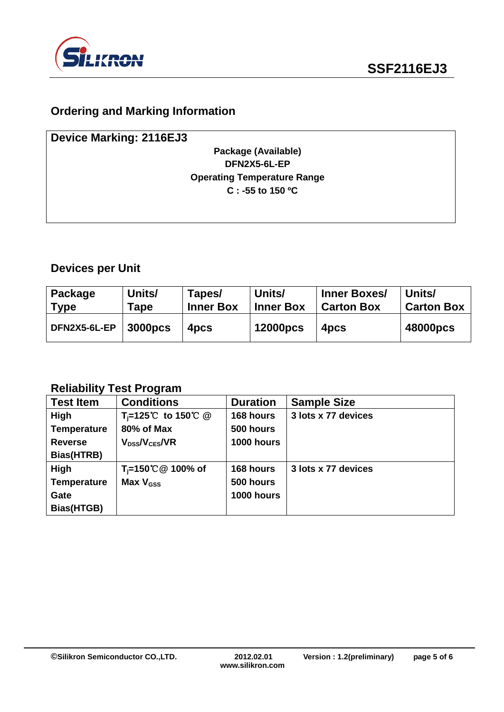

## **Ordering and Marking Information**

| <b>Device Marking: 2116EJ3</b>     |  |
|------------------------------------|--|
| Package (Available)                |  |
| DFN2X5-6L-EP                       |  |
| <b>Operating Temperature Range</b> |  |
| $C: -55$ to 150 °C                 |  |
|                                    |  |

## **Devices per Unit**

| Package      | Units/              | Tapes/           | Units/           | Inner Boxes/      | Units/            |
|--------------|---------------------|------------------|------------------|-------------------|-------------------|
| $\mid$ Type  | Tape                | <b>Inner Box</b> | <b>Inner Box</b> | <b>Carton Box</b> | <b>Carton Box</b> |
| DFN2X5-6L-EP | 3000 <sub>pcs</sub> | 4 <sub>pcs</sub> | <b>12000pcs</b>  | 4 <sub>pcs</sub>  | 48000pcs          |

#### **Reliability Test Program**

| <b>Test Item</b>   | <b>Conditions</b>              | <b>Duration</b> | <b>Sample Size</b>  |
|--------------------|--------------------------------|-----------------|---------------------|
| <b>High</b>        | T <sub>i</sub> =125℃ to 150℃ @ | 168 hours       | 3 lots x 77 devices |
| <b>Temperature</b> | 80% of Max                     | 500 hours       |                     |
| <b>Reverse</b>     | $V_{DSs}/V_{CES}/VR$           | 1000 hours      |                     |
| Bias(HTRB)         |                                |                 |                     |
| High               | T <sub>i</sub> =150℃ @ 100% of | 168 hours       | 3 lots x 77 devices |
| <b>Temperature</b> | Max $V_{\text{GSS}}$           | 500 hours       |                     |
| Gate               |                                | 1000 hours      |                     |
| Bias(HTGB)         |                                |                 |                     |